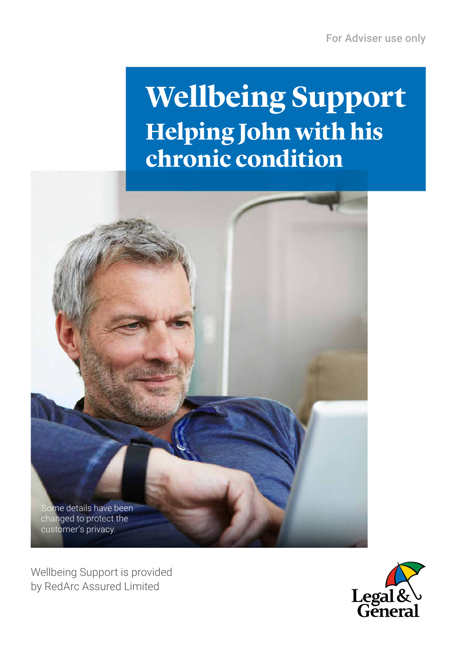## **Wellbeing Support Helping John with his chronic condition**



Wellbeing Support is provided by RedArc Assured Limited

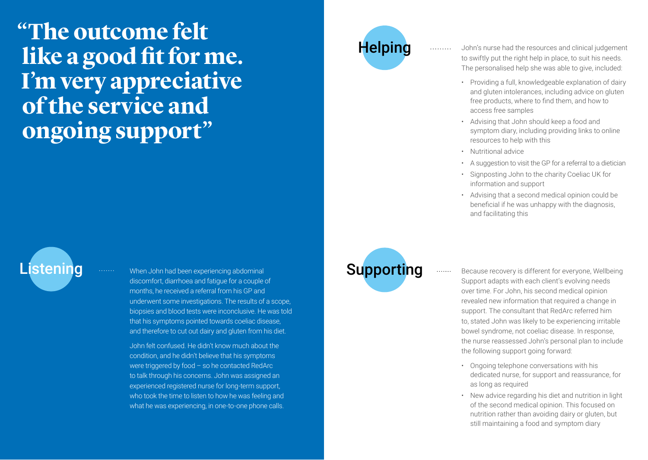**"The outcome felt like a good fit for me. I'm very appreciative of the service and ongoing support"**

When John had been experiencing abdominal discomfort, diarrhoea and fatigue for a couple of months, he received a referral from his GP and underwent some investigations. The results of a scope, biopsies and blood tests were inconclusive. He was told that his symptoms pointed towards coeliac disease, and therefore to cut out dairy and gluten from his diet. Listening with the Uphri had been experiencing abdominal and the Supporting

> John felt confused. He didn't know much about the condition, and he didn't believe that his symptoms were triggered by food – so he contacted RedArc to talk through his concerns. John was assigned an experienced registered nurse for long-term support, who took the time to listen to how he was feeling and what he was experiencing, in one-to-one phone calls.

# **Helping**

John's nurse had the resources and clinical judgement to swiftly put the right help in place, to suit his needs. The personalised help she was able to give, included:

- Providing a full, knowledgeable explanation of dairy and gluten intolerances, including advice on gluten free products, where to find them, and how to access free samples
- Advising that John should keep a food and symptom diary, including providing links to online resources to help with this
- Nutritional advice
- A suggestion to visit the GP for a referral to a dietician
- Signposting John to the charity Coeliac UK for information and support
- Advising that a second medical opinion could be beneficial if he was unhappy with the diagnosis, and facilitating this

Because recovery is different for everyone, Wellbeing Support adapts with each client's evolving needs over time. For John, his second medical opinion revealed new information that required a change in support. The consultant that RedArc referred him to, stated John was likely to be experiencing irritable bowel syndrome, not coeliac disease. In response, the nurse reassessed John's personal plan to include the following support going forward:

- Ongoing telephone conversations with his dedicated nurse, for support and reassurance, for as long as required
- New advice regarding his diet and nutrition in light of the second medical opinion. This focused on nutrition rather than avoiding dairy or gluten, but still maintaining a food and symptom diary